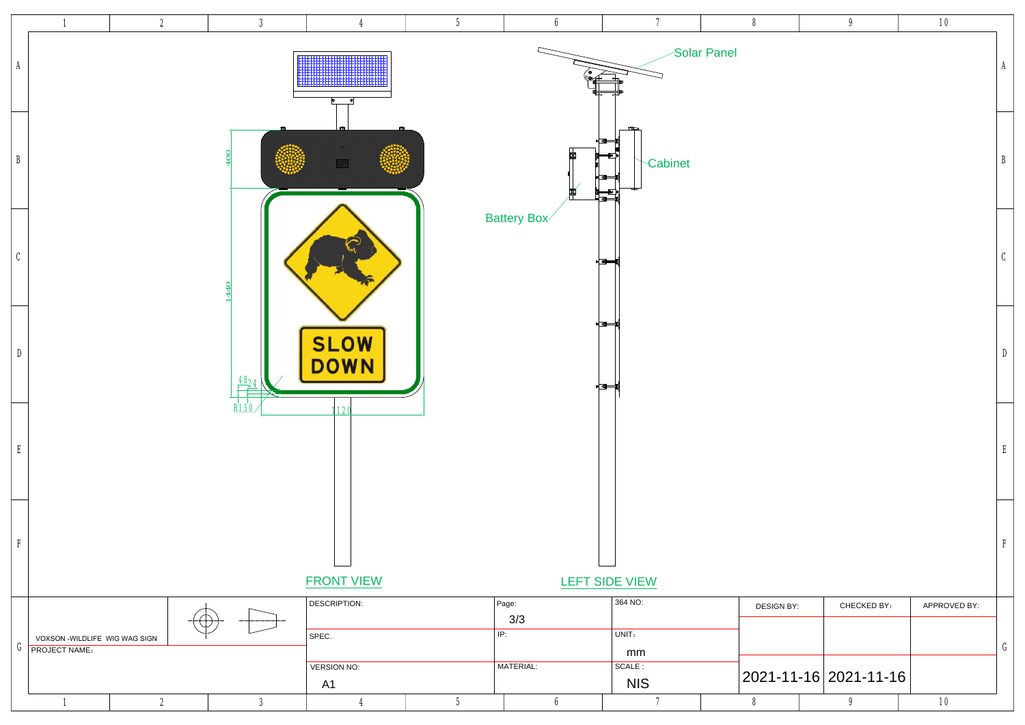6

7 8

9 10



| $\boldsymbol{6}$                 | 7                                   | 8                  | 9                           | 10           |              |
|----------------------------------|-------------------------------------|--------------------|-----------------------------|--------------|--------------|
| $\bullet$<br>(C                  |                                     | <b>Solar Panel</b> |                             |              | A            |
| ⊧⊡⊪<br>圃<br>$\mathbb{E}$<br>∤ ब⊧ | $\mathbb{Z}$<br>Cabinet<br>∈∎⊨<br>€ |                    |                             |              | B            |
| ⊧⊡⊫                              |                                     |                    |                             |              | $\mathbf{C}$ |
| ⊧⊡⊫<br><u>⊧[ ब</u> ⊨             |                                     |                    |                             |              | D            |
|                                  |                                     |                    |                             |              | E            |
|                                  | المستنسسات<br><b>LEFT SIDE VIEW</b> |                    |                             |              | F            |
|                                  | 364 NO:                             | <b>DESIGN BY:</b>  | <b>CHECKED BY:</b>          | APPROVED BY: |              |
|                                  | UNIT:                               |                    |                             |              |              |
|                                  | mm                                  |                    |                             |              | G            |
|                                  | SCALE :<br><b>NIS</b>               |                    | $2021 - 11 - 16$ 2021-11-16 |              |              |
|                                  |                                     |                    |                             |              |              |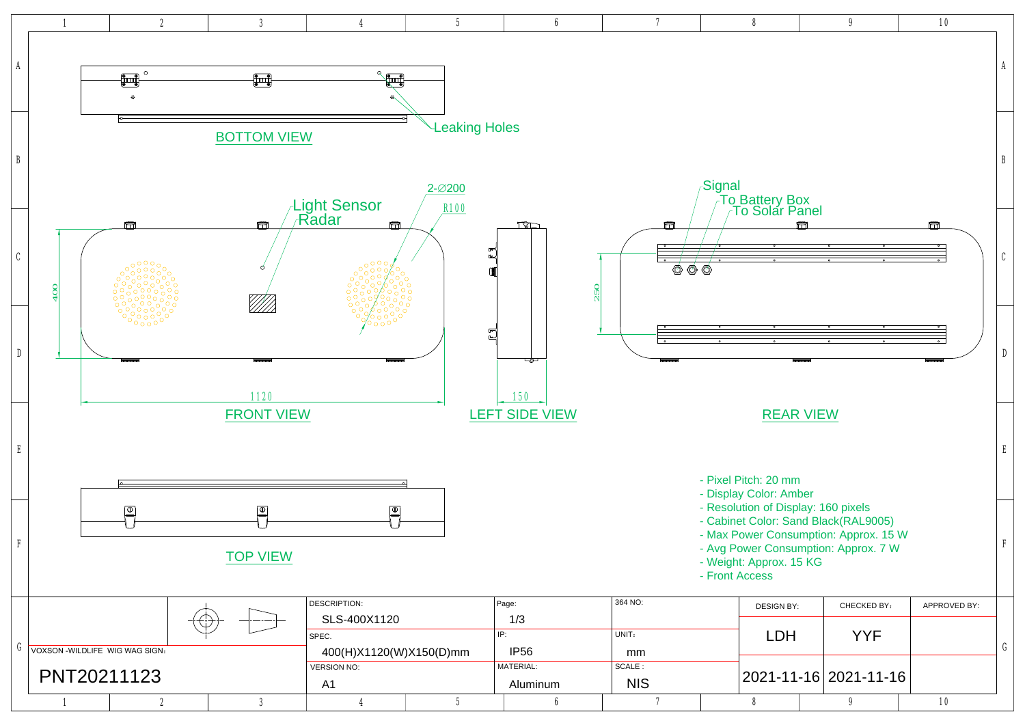| 6          | 7                                                                                                                                                                                                                                   | 8                                                                                                                                                                                                                          |      | 9                                                | <b>10</b>                                 |   |  |  |  |
|------------|-------------------------------------------------------------------------------------------------------------------------------------------------------------------------------------------------------------------------------------|----------------------------------------------------------------------------------------------------------------------------------------------------------------------------------------------------------------------------|------|--------------------------------------------------|-------------------------------------------|---|--|--|--|
|            |                                                                                                                                                                                                                                     |                                                                                                                                                                                                                            |      |                                                  |                                           | A |  |  |  |
|            |                                                                                                                                                                                                                                     | Signal                                                                                                                                                                                                                     |      |                                                  |                                           | B |  |  |  |
|            | Ħ<br>$\overline{\phantom{0}}$<br>$\bullet$<br>◎<br>250                                                                                                                                                                              | Ħ<br>Ħ<br>$\overline{\ }$<br>$\overline{\ }$<br>$\overline{\phantom{a}}$<br>$\overline{\ }$<br>$\overline{\ }$<br>$\circ$<br>$\bullet$<br>$\bullet$<br>$\bullet$<br>$\bullet$<br>$\langle \!\!\!\!\! \circ \rangle$<br>(Ō) |      |                                                  |                                           |   |  |  |  |
|            | $\circ$<br>$\bullet$<br>لحصصه                                                                                                                                                                                                       | $\circ$<br>۰<br>$\bullet$<br>$\bullet$                                                                                                                                                                                     | لسسط | $\bullet$<br>$\bullet$<br>$\bullet$<br>$\bullet$ | $\bullet$<br>$\bullet$<br><del>____</del> | D |  |  |  |
| <b>IEW</b> | <b>REAR VIEW</b><br>- Pixel Pitch: 20 mm                                                                                                                                                                                            |                                                                                                                                                                                                                            |      |                                                  |                                           |   |  |  |  |
|            | - Display Color: Amber<br>- Resolution of Display: 160 pixels<br>- Cabinet Color: Sand Black(RAL9005)<br>- Max Power Consumption: Approx. 15 W<br>- Avg Power Consumption: Approx. 7 W<br>- Weight: Approx. 15 KG<br>- Front Access |                                                                                                                                                                                                                            |      |                                                  |                                           |   |  |  |  |
|            | 364 NO:                                                                                                                                                                                                                             | <b>DESIGN BY:</b>                                                                                                                                                                                                          |      | <b>CHECKED BY:</b>                               | <b>APPROVED BY:</b>                       |   |  |  |  |
|            | UNIT:<br>mm<br>SCALE:                                                                                                                                                                                                               | <b>LDH</b>                                                                                                                                                                                                                 |      | <b>YYF</b>                                       |                                           | G |  |  |  |
| ım         | <b>NIS</b>                                                                                                                                                                                                                          |                                                                                                                                                                                                                            |      | 2021-11-16 2021-11-16                            |                                           |   |  |  |  |
| 6          | 7                                                                                                                                                                                                                                   | 8                                                                                                                                                                                                                          |      | 9                                                | <b>10</b>                                 |   |  |  |  |